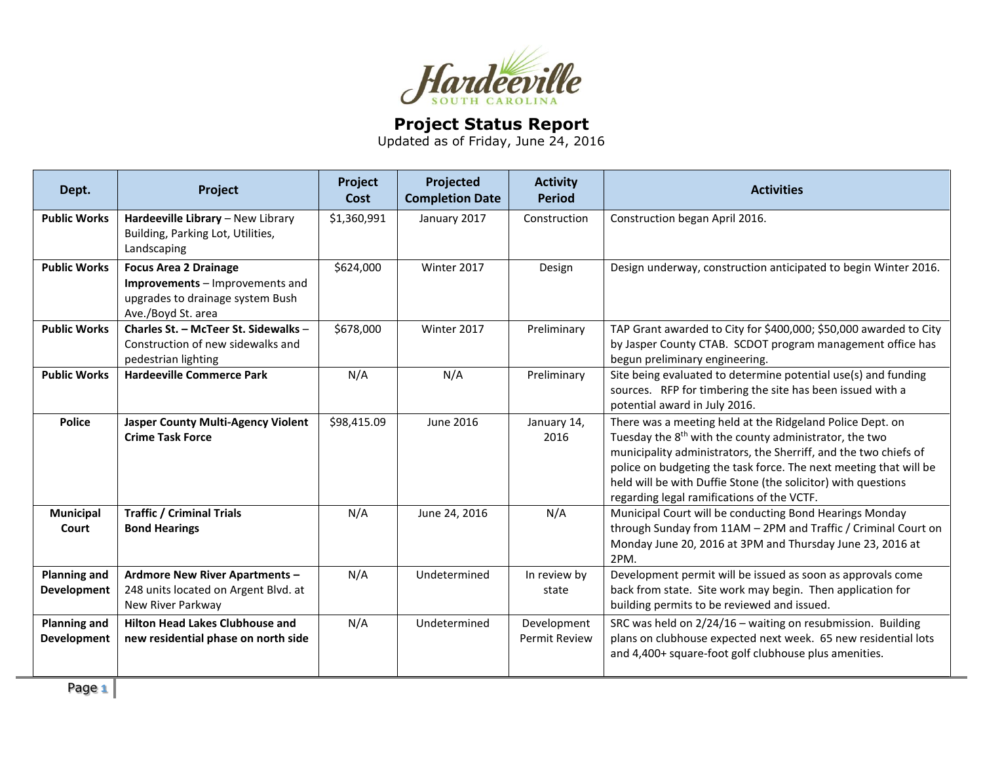

## **Project Status Report**

Updated as of Friday, June 24, 2016

| Dept.                                     | Project                                                                                                                   | Project<br>Cost | Projected<br><b>Completion Date</b> | <b>Activity</b><br><b>Period</b>    | <b>Activities</b>                                                                                                                                                                                                                                                                                                                                                                       |
|-------------------------------------------|---------------------------------------------------------------------------------------------------------------------------|-----------------|-------------------------------------|-------------------------------------|-----------------------------------------------------------------------------------------------------------------------------------------------------------------------------------------------------------------------------------------------------------------------------------------------------------------------------------------------------------------------------------------|
| <b>Public Works</b>                       | Hardeeville Library - New Library<br>Building, Parking Lot, Utilities,<br>Landscaping                                     | \$1,360,991     | January 2017                        | Construction                        | Construction began April 2016.                                                                                                                                                                                                                                                                                                                                                          |
| <b>Public Works</b>                       | <b>Focus Area 2 Drainage</b><br>Improvements - Improvements and<br>upgrades to drainage system Bush<br>Ave./Boyd St. area | \$624,000       | Winter 2017                         | Design                              | Design underway, construction anticipated to begin Winter 2016.                                                                                                                                                                                                                                                                                                                         |
| <b>Public Works</b>                       | Charles St. - McTeer St. Sidewalks -<br>Construction of new sidewalks and<br>pedestrian lighting                          | \$678,000       | Winter 2017                         | Preliminary                         | TAP Grant awarded to City for \$400,000; \$50,000 awarded to City<br>by Jasper County CTAB. SCDOT program management office has<br>begun preliminary engineering.                                                                                                                                                                                                                       |
| <b>Public Works</b>                       | <b>Hardeeville Commerce Park</b>                                                                                          | N/A             | N/A                                 | Preliminary                         | Site being evaluated to determine potential use(s) and funding<br>sources. RFP for timbering the site has been issued with a<br>potential award in July 2016.                                                                                                                                                                                                                           |
| <b>Police</b>                             | <b>Jasper County Multi-Agency Violent</b><br><b>Crime Task Force</b>                                                      | \$98,415.09     | June 2016                           | January 14,<br>2016                 | There was a meeting held at the Ridgeland Police Dept. on<br>Tuesday the 8 <sup>th</sup> with the county administrator, the two<br>municipality administrators, the Sherriff, and the two chiefs of<br>police on budgeting the task force. The next meeting that will be<br>held will be with Duffie Stone (the solicitor) with questions<br>regarding legal ramifications of the VCTF. |
| <b>Municipal</b><br>Court                 | <b>Traffic / Criminal Trials</b><br><b>Bond Hearings</b>                                                                  | N/A             | June 24, 2016                       | N/A                                 | Municipal Court will be conducting Bond Hearings Monday<br>through Sunday from 11AM - 2PM and Traffic / Criminal Court on<br>Monday June 20, 2016 at 3PM and Thursday June 23, 2016 at<br>2PM.                                                                                                                                                                                          |
| <b>Planning and</b><br><b>Development</b> | Ardmore New River Apartments -<br>248 units located on Argent Blvd. at<br>New River Parkway                               | N/A             | Undetermined                        | In review by<br>state               | Development permit will be issued as soon as approvals come<br>back from state. Site work may begin. Then application for<br>building permits to be reviewed and issued.                                                                                                                                                                                                                |
| <b>Planning and</b><br><b>Development</b> | <b>Hilton Head Lakes Clubhouse and</b><br>new residential phase on north side                                             | N/A             | Undetermined                        | Development<br><b>Permit Review</b> | SRC was held on 2/24/16 - waiting on resubmission. Building<br>plans on clubhouse expected next week. 65 new residential lots<br>and 4,400+ square-foot golf clubhouse plus amenities.                                                                                                                                                                                                  |